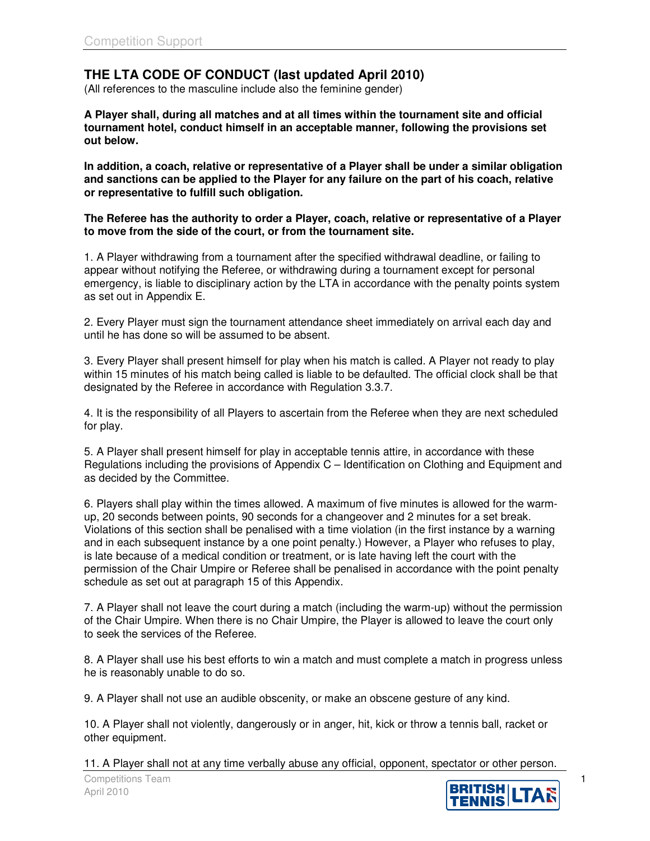## **THE LTA CODE OF CONDUCT (last updated April 2010)**

(All references to the masculine include also the feminine gender)

**A Player shall, during all matches and at all times within the tournament site and official tournament hotel, conduct himself in an acceptable manner, following the provisions set out below.**

**In addition, a coach, relative or representative of a Player shall be under a similar obligation and sanctions can be applied to the Player for any failure on the part of his coach, relative or representative to fulfill such obligation.**

**The Referee has the authority to order a Player, coach, relative or representative of a Player to move from the side of the court, or from the tournament site.**

1. A Player withdrawing from a tournament after the specified withdrawal deadline, or failing to appear without notifying the Referee, or withdrawing during a tournament except for personal emergency, is liable to disciplinary action by the LTA in accordance with the penalty points system as set out in Appendix E.

2. Every Player must sign the tournament attendance sheet immediately on arrival each day and until he has done so will be assumed to be absent.

3. Every Player shall present himself for play when his match is called. A Player not ready to play within 15 minutes of his match being called is liable to be defaulted. The official clock shall be that designated by the Referee in accordance with Regulation 3.3.7.

4. It is the responsibility of all Players to ascertain from the Referee when they are next scheduled for play.

5. A Player shall present himself for play in acceptable tennis attire, in accordance with these Regulations including the provisions of Appendix C – Identification on Clothing and Equipment and as decided by the Committee.

6. Players shall play within the times allowed. A maximum of five minutes is allowed for the warmup, 20 seconds between points, 90 seconds for a changeover and 2 minutes for a set break. Violations of this section shall be penalised with a time violation (in the first instance by a warning and in each subsequent instance by a one point penalty.) However, a Player who refuses to play, is late because of a medical condition or treatment, or is late having left the court with the permission of the Chair Umpire or Referee shall be penalised in accordance with the point penalty schedule as set out at paragraph 15 of this Appendix.

7. A Player shall not leave the court during a match (including the warm-up) without the permission of the Chair Umpire. When there is no Chair Umpire, the Player is allowed to leave the court only to seek the services of the Referee.

8. A Player shall use his best efforts to win a match and must complete a match in progress unless he is reasonably unable to do so.

9. A Player shall not use an audible obscenity, or make an obscene gesture of any kind.

10. A Player shall not violently, dangerously or in anger, hit, kick or throw a tennis ball, racket or other equipment.

11. A Player shall not at any time verbally abuse any official, opponent, spectator or other person.